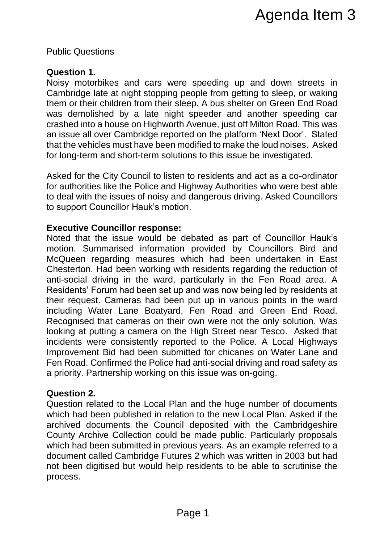Public Questions

# **Question 1.**

Noisy motorbikes and cars were speeding up and down streets in Cambridge late at night stopping people from getting to sleep, or waking them or their children from their sleep. A bus shelter on Green End Road was demolished by a late night speeder and another speeding car crashed into a house on Highworth Avenue, just off Milton Road. This was an issue all over Cambridge reported on the platform 'Next Door'. Stated that the vehicles must have been modified to make the loud noises. Asked for long-term and short-term solutions to this issue be investigated.

Asked for the City Council to listen to residents and act as a co-ordinator for authorities like the Police and Highway Authorities who were best able to deal with the issues of noisy and dangerous driving. Asked Councillors to support Councillor Hauk's motion.

# **Executive Councillor response:**

Noted that the issue would be debated as part of Councillor Hauk's motion. Summarised information provided by Councillors Bird and McQueen regarding measures which had been undertaken in East Chesterton. Had been working with residents regarding the reduction of anti-social driving in the ward, particularly in the Fen Road area. A Residents' Forum had been set up and was now being led by residents at their request. Cameras had been put up in various points in the ward including Water Lane Boatyard, Fen Road and Green End Road. Recognised that cameras on their own were not the only solution. Was looking at putting a camera on the High Street near Tesco. Asked that incidents were consistently reported to the Police. A Local Highways Improvement Bid had been submitted for chicanes on Water Lane and Fen Road. Confirmed the Police had anti-social driving and road safety as a priority. Partnership working on this issue was on-going. Agenda Item 3<br>
ere speeding up and down streets in<br>
people from getting to sleep, or waking<br>
people Tom getting to sleep, and another speeding care<br>
th Avenue, just of Milthon Road. This was<br>
the dome, just of Milthon Road

# **Question 2.**

Question related to the Local Plan and the huge number of documents which had been published in relation to the new Local Plan. Asked if the archived documents the Council deposited with the Cambridgeshire County Archive Collection could be made public. Particularly proposals which had been submitted in previous years. As an example referred to a document called Cambridge Futures 2 which was written in 2003 but had not been digitised but would help residents to be able to scrutinise the process.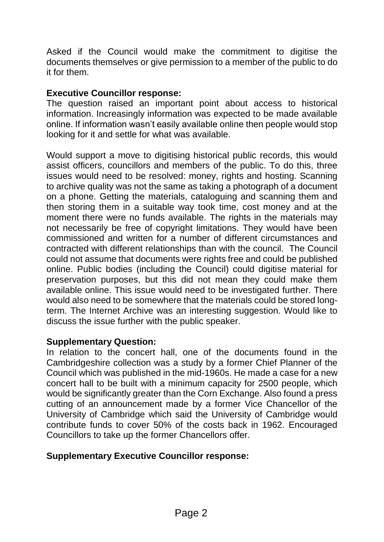Asked if the Council would make the commitment to digitise the documents themselves or give permission to a member of the public to do it for them.

### **Executive Councillor response:**

The question raised an important point about access to historical information. Increasingly information was expected to be made available online. If information wasn't easily available online then people would stop looking for it and settle for what was available.

Would support a move to digitising historical public records, this would assist officers, councillors and members of the public. To do this, three issues would need to be resolved: money, rights and hosting. Scanning to archive quality was not the same as taking a photograph of a document on a phone. Getting the materials, cataloguing and scanning them and then storing them in a suitable way took time, cost money and at the moment there were no funds available. The rights in the materials may not necessarily be free of copyright limitations. They would have been commissioned and written for a number of different circumstances and contracted with different relationships than with the council. The Council could not assume that documents were rights free and could be published online. Public bodies (including the Council) could digitise material for preservation purposes, but this did not mean they could make them available online. This issue would need to be investigated further. There would also need to be somewhere that the materials could be stored longterm. The Internet Archive was an interesting suggestion. Would like to discuss the issue further with the public speaker.

#### **Supplementary Question:**

In relation to the concert hall, one of the documents found in the Cambridgeshire collection was a study by a former Chief Planner of the Council which was published in the mid-1960s. He made a case for a new concert hall to be built with a minimum capacity for 2500 people, which would be significantly greater than the Corn Exchange. Also found a press cutting of an announcement made by a former Vice Chancellor of the University of Cambridge which said the University of Cambridge would contribute funds to cover 50% of the costs back in 1962. Encouraged Councillors to take up the former Chancellors offer.

#### **Supplementary Executive Councillor response:**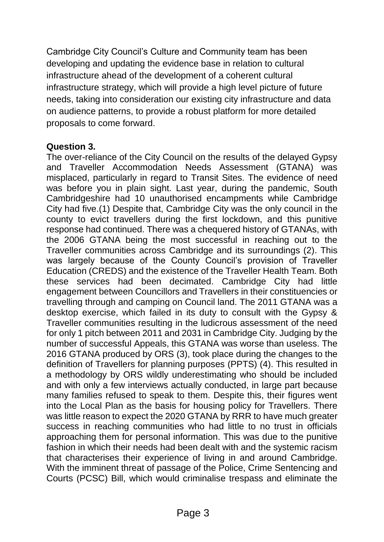Cambridge City Council's Culture and Community team has been developing and updating the evidence base in relation to cultural infrastructure ahead of the development of a coherent cultural infrastructure strategy, which will provide a high level picture of future needs, taking into consideration our existing city infrastructure and data on audience patterns, to provide a robust platform for more detailed proposals to come forward.

#### **Question 3.**

The over-reliance of the City Council on the results of the delayed Gypsy and Traveller Accommodation Needs Assessment (GTANA) was misplaced, particularly in regard to Transit Sites. The evidence of need was before you in plain sight. Last year, during the pandemic, South Cambridgeshire had 10 unauthorised encampments while Cambridge City had five.(1) Despite that, Cambridge City was the only council in the county to evict travellers during the first lockdown, and this punitive response had continued. There was a chequered history of GTANAs, with the 2006 GTANA being the most successful in reaching out to the Traveller communities across Cambridge and its surroundings (2). This was largely because of the County Council's provision of Traveller Education (CREDS) and the existence of the Traveller Health Team. Both these services had been decimated. Cambridge City had little engagement between Councillors and Travellers in their constituencies or travelling through and camping on Council land. The 2011 GTANA was a desktop exercise, which failed in its duty to consult with the Gypsy & Traveller communities resulting in the ludicrous assessment of the need for only 1 pitch between 2011 and 2031 in Cambridge City. Judging by the number of successful Appeals, this GTANA was worse than useless. The 2016 GTANA produced by ORS (3), took place during the changes to the definition of Travellers for planning purposes (PPTS) (4). This resulted in a methodology by ORS wildly underestimating who should be included and with only a few interviews actually conducted, in large part because many families refused to speak to them. Despite this, their figures went into the Local Plan as the basis for housing policy for Travellers. There was little reason to expect the 2020 GTANA by RRR to have much greater success in reaching communities who had little to no trust in officials approaching them for personal information. This was due to the punitive fashion in which their needs had been dealt with and the systemic racism that characterises their experience of living in and around Cambridge. With the imminent threat of passage of the Police, Crime Sentencing and Courts (PCSC) Bill, which would criminalise trespass and eliminate the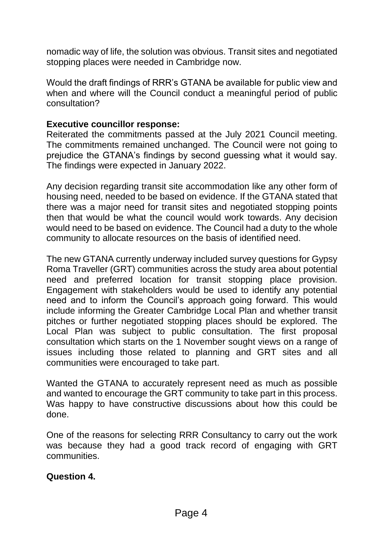nomadic way of life, the solution was obvious. Transit sites and negotiated stopping places were needed in Cambridge now.

Would the draft findings of RRR's GTANA be available for public view and when and where will the Council conduct a meaningful period of public consultation?

#### **Executive councillor response:**

Reiterated the commitments passed at the July 2021 Council meeting. The commitments remained unchanged. The Council were not going to prejudice the GTANA's findings by second guessing what it would say. The findings were expected in January 2022.

Any decision regarding transit site accommodation like any other form of housing need, needed to be based on evidence. If the GTANA stated that there was a major need for transit sites and negotiated stopping points then that would be what the council would work towards. Any decision would need to be based on evidence. The Council had a duty to the whole community to allocate resources on the basis of identified need.

The new GTANA currently underway included survey questions for Gypsy Roma Traveller (GRT) communities across the study area about potential need and preferred location for transit stopping place provision. Engagement with stakeholders would be used to identify any potential need and to inform the Council's approach going forward. This would include informing the Greater Cambridge Local Plan and whether transit pitches or further negotiated stopping places should be explored. The Local Plan was subject to public consultation. The first proposal consultation which starts on the 1 November sought views on a range of issues including those related to planning and GRT sites and all communities were encouraged to take part.

Wanted the GTANA to accurately represent need as much as possible and wanted to encourage the GRT community to take part in this process. Was happy to have constructive discussions about how this could be done.

One of the reasons for selecting RRR Consultancy to carry out the work was because they had a good track record of engaging with GRT communities.

#### **Question 4.**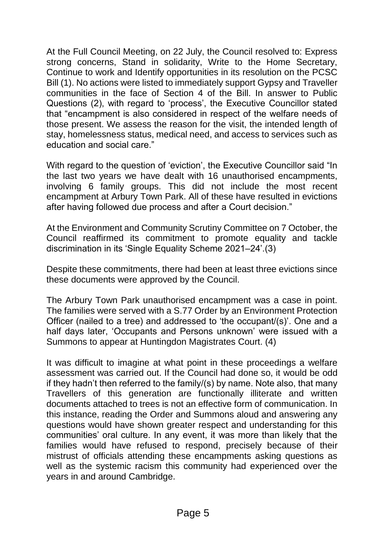At the Full Council Meeting, on 22 July, the Council resolved to: Express strong concerns, Stand in solidarity, Write to the Home Secretary, Continue to work and Identify opportunities in its resolution on the PCSC Bill (1). No actions were listed to immediately support Gypsy and Traveller communities in the face of Section 4 of the Bill. In answer to Public Questions (2), with regard to 'process', the Executive Councillor stated that "encampment is also considered in respect of the welfare needs of those present. We assess the reason for the visit, the intended length of stay, homelessness status, medical need, and access to services such as education and social care."

With regard to the question of 'eviction', the Executive Councillor said "In the last two years we have dealt with 16 unauthorised encampments, involving 6 family groups. This did not include the most recent encampment at Arbury Town Park. All of these have resulted in evictions after having followed due process and after a Court decision."

At the Environment and Community Scrutiny Committee on 7 October, the Council reaffirmed its commitment to promote equality and tackle discrimination in its 'Single Equality Scheme 2021–24'.(3)

Despite these commitments, there had been at least three evictions since these documents were approved by the Council.

The Arbury Town Park unauthorised encampment was a case in point. The families were served with a S.77 Order by an Environment Protection Officer (nailed to a tree) and addressed to 'the occupant/(s)'. One and a half days later, 'Occupants and Persons unknown' were issued with a Summons to appear at Huntingdon Magistrates Court. (4)

It was difficult to imagine at what point in these proceedings a welfare assessment was carried out. If the Council had done so, it would be odd if they hadn't then referred to the family/(s) by name. Note also, that many Travellers of this generation are functionally illiterate and written documents attached to trees is not an effective form of communication. In this instance, reading the Order and Summons aloud and answering any questions would have shown greater respect and understanding for this communities' oral culture. In any event, it was more than likely that the families would have refused to respond, precisely because of their mistrust of officials attending these encampments asking questions as well as the systemic racism this community had experienced over the years in and around Cambridge.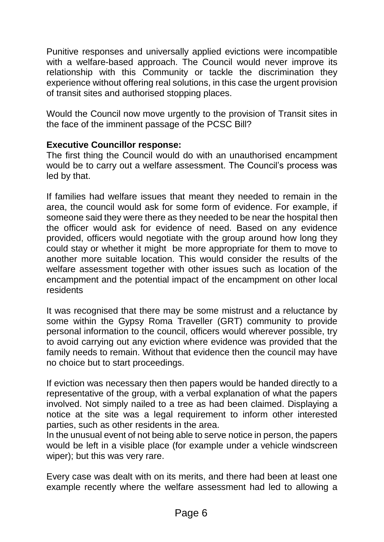Punitive responses and universally applied evictions were incompatible with a welfare-based approach. The Council would never improve its relationship with this Community or tackle the discrimination they experience without offering real solutions, in this case the urgent provision of transit sites and authorised stopping places.

Would the Council now move urgently to the provision of Transit sites in the face of the imminent passage of the PCSC Bill?

# **Executive Councillor response:**

The first thing the Council would do with an unauthorised encampment would be to carry out a welfare assessment. The Council's process was led by that.

If families had welfare issues that meant they needed to remain in the area, the council would ask for some form of evidence. For example, if someone said they were there as they needed to be near the hospital then the officer would ask for evidence of need. Based on any evidence provided, officers would negotiate with the group around how long they could stay or whether it might be more appropriate for them to move to another more suitable location. This would consider the results of the welfare assessment together with other issues such as location of the encampment and the potential impact of the encampment on other local residents

It was recognised that there may be some mistrust and a reluctance by some within the Gypsy Roma Traveller (GRT) community to provide personal information to the council, officers would wherever possible, try to avoid carrying out any eviction where evidence was provided that the family needs to remain. Without that evidence then the council may have no choice but to start proceedings.

If eviction was necessary then then papers would be handed directly to a representative of the group, with a verbal explanation of what the papers involved. Not simply nailed to a tree as had been claimed. Displaying a notice at the site was a legal requirement to inform other interested parties, such as other residents in the area.

In the unusual event of not being able to serve notice in person, the papers would be left in a visible place (for example under a vehicle windscreen wiper); but this was very rare.

Every case was dealt with on its merits, and there had been at least one example recently where the welfare assessment had led to allowing a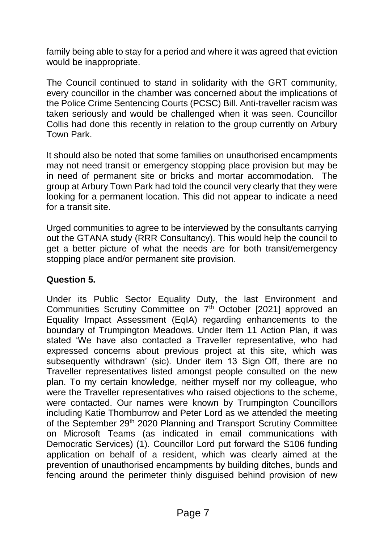family being able to stay for a period and where it was agreed that eviction would be inappropriate.

The Council continued to stand in solidarity with the GRT community, every councillor in the chamber was concerned about the implications of the Police Crime Sentencing Courts (PCSC) Bill. Anti-traveller racism was taken seriously and would be challenged when it was seen. Councillor Collis had done this recently in relation to the group currently on Arbury Town Park.

It should also be noted that some families on unauthorised encampments may not need transit or emergency stopping place provision but may be in need of permanent site or bricks and mortar accommodation. The group at Arbury Town Park had told the council very clearly that they were looking for a permanent location. This did not appear to indicate a need for a transit site.

Urged communities to agree to be interviewed by the consultants carrying out the GTANA study (RRR Consultancy). This would help the council to get a better picture of what the needs are for both transit/emergency stopping place and/or permanent site provision.

# **Question 5.**

Under its Public Sector Equality Duty, the last Environment and Communities Scrutiny Committee on 7<sup>th</sup> October [2021] approved an Equality Impact Assessment (EqIA) regarding enhancements to the boundary of Trumpington Meadows. Under Item 11 Action Plan, it was stated 'We have also contacted a Traveller representative, who had expressed concerns about previous project at this site, which was subsequently withdrawn' (sic). Under item 13 Sign Off, there are no Traveller representatives listed amongst people consulted on the new plan. To my certain knowledge, neither myself nor my colleague, who were the Traveller representatives who raised objections to the scheme, were contacted. Our names were known by Trumpington Councillors including Katie Thornburrow and Peter Lord as we attended the meeting of the September 29<sup>th</sup> 2020 Planning and Transport Scrutiny Committee on Microsoft Teams (as indicated in email communications with Democratic Services) (1). Councillor Lord put forward the S106 funding application on behalf of a resident, which was clearly aimed at the prevention of unauthorised encampments by building ditches, bunds and fencing around the perimeter thinly disguised behind provision of new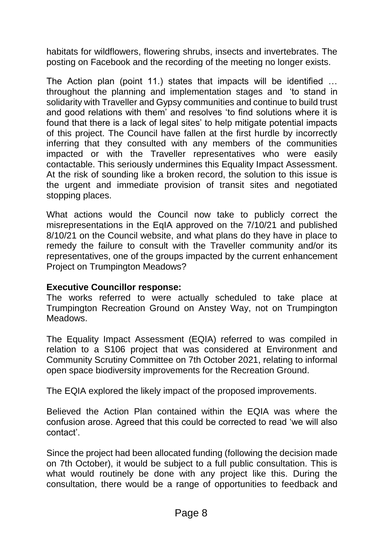habitats for wildflowers, flowering shrubs, insects and invertebrates. The posting on Facebook and the recording of the meeting no longer exists.

The Action plan (point 11.) states that impacts will be identified … throughout the planning and implementation stages and 'to stand in solidarity with Traveller and Gypsy communities and continue to build trust and good relations with them' and resolves 'to find solutions where it is found that there is a lack of legal sites' to help mitigate potential impacts of this project. The Council have fallen at the first hurdle by incorrectly inferring that they consulted with any members of the communities impacted or with the Traveller representatives who were easily contactable. This seriously undermines this Equality Impact Assessment. At the risk of sounding like a broken record, the solution to this issue is the urgent and immediate provision of transit sites and negotiated stopping places.

What actions would the Council now take to publicly correct the misrepresentations in the EqIA approved on the 7/10/21 and published 8/10/21 on the Council website, and what plans do they have in place to remedy the failure to consult with the Traveller community and/or its representatives, one of the groups impacted by the current enhancement Project on Trumpington Meadows?

#### **Executive Councillor response:**

The works referred to were actually scheduled to take place at Trumpington Recreation Ground on Anstey Way, not on Trumpington Meadows.

The Equality Impact Assessment (EQIA) referred to was compiled in relation to a S106 project that was considered at Environment and Community Scrutiny Committee on 7th October 2021, relating to informal open space biodiversity improvements for the Recreation Ground.

The EQIA explored the likely impact of the proposed improvements.

Believed the Action Plan contained within the EQIA was where the confusion arose. Agreed that this could be corrected to read 'we will also contact'.

Since the project had been allocated funding (following the decision made on 7th October), it would be subject to a full public consultation. This is what would routinely be done with any project like this. During the consultation, there would be a range of opportunities to feedback and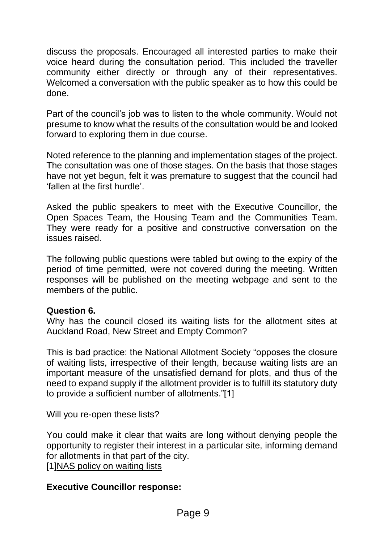discuss the proposals. Encouraged all interested parties to make their voice heard during the consultation period. This included the traveller community either directly or through any of their representatives. Welcomed a conversation with the public speaker as to how this could be done.

Part of the council's job was to listen to the whole community. Would not presume to know what the results of the consultation would be and looked forward to exploring them in due course.

Noted reference to the planning and implementation stages of the project. The consultation was one of those stages. On the basis that those stages have not yet begun, felt it was premature to suggest that the council had 'fallen at the first hurdle'.

Asked the public speakers to meet with the Executive Councillor, the Open Spaces Team, the Housing Team and the Communities Team. They were ready for a positive and constructive conversation on the issues raised.

The following public questions were tabled but owing to the expiry of the period of time permitted, were not covered during the meeting. Written responses will be published on the meeting webpage and sent to the members of the public.

#### **Question 6.**

Why has the council closed its waiting lists for the allotment sites at Auckland Road, New Street and Empty Common?

This is bad practice: the National Allotment Society "opposes the closure of waiting lists, irrespective of their length, because waiting lists are an important measure of the unsatisfied demand for plots, and thus of the need to expand supply if the allotment provider is to fulfill its statutory duty to provide a sufficient number of allotments."[1]

Will you re-open these lists?

You could make it clear that waits are long without denying people the opportunity to register their interest in a particular site, informing demand for allotments in that part of the city.

[1[\]NAS policy on waiting lists](https://protect-eu.mimecast.com/s/JZDWCNOQTjoK4Kf4WXOA?domain=nsalg.org.uk)

#### **Executive Councillor response:**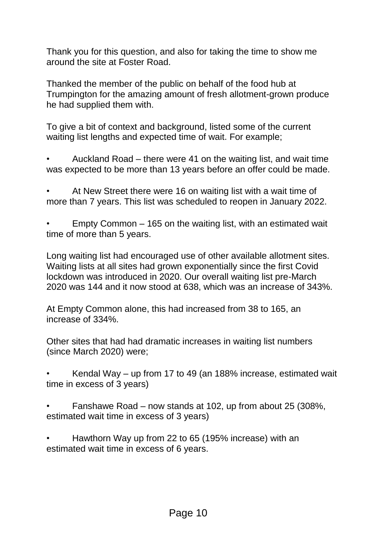Thank you for this question, and also for taking the time to show me around the site at Foster Road.

Thanked the member of the public on behalf of the food hub at Trumpington for the amazing amount of fresh allotment-grown produce he had supplied them with.

To give a bit of context and background, listed some of the current waiting list lengths and expected time of wait. For example;

• Auckland Road – there were 41 on the waiting list, and wait time was expected to be more than 13 years before an offer could be made.

• At New Street there were 16 on waiting list with a wait time of more than 7 years. This list was scheduled to reopen in January 2022.

• Empty Common – 165 on the waiting list, with an estimated wait time of more than 5 years.

Long waiting list had encouraged use of other available allotment sites. Waiting lists at all sites had grown exponentially since the first Covid lockdown was introduced in 2020. Our overall waiting list pre-March 2020 was 144 and it now stood at 638, which was an increase of 343%.

At Empty Common alone, this had increased from 38 to 165, an increase of 334%.

Other sites that had had dramatic increases in waiting list numbers (since March 2020) were;

• Kendal Way – up from 17 to 49 (an 188% increase, estimated wait time in excess of 3 years)

• Fanshawe Road – now stands at 102, up from about 25 (308%, estimated wait time in excess of 3 years)

• Hawthorn Way up from 22 to 65 (195% increase) with an estimated wait time in excess of 6 years.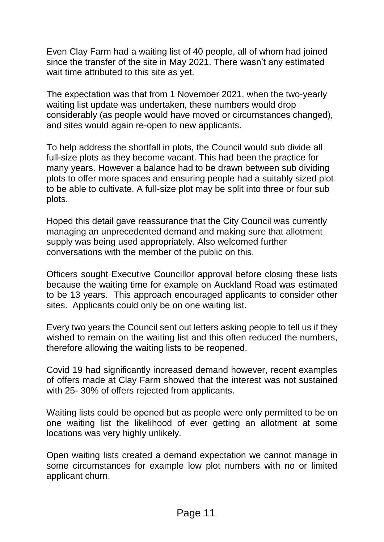Even Clay Farm had a waiting list of 40 people, all of whom had joined since the transfer of the site in May 2021. There wasn't any estimated wait time attributed to this site as yet.

The expectation was that from 1 November 2021, when the two-yearly waiting list update was undertaken, these numbers would drop considerably (as people would have moved or circumstances changed), and sites would again re-open to new applicants.

To help address the shortfall in plots, the Council would sub divide all full-size plots as they become vacant. This had been the practice for many years. However a balance had to be drawn between sub dividing plots to offer more spaces and ensuring people had a suitably sized plot to be able to cultivate. A full-size plot may be split into three or four sub plots.

Hoped this detail gave reassurance that the City Council was currently managing an unprecedented demand and making sure that allotment supply was being used appropriately. Also welcomed further conversations with the member of the public on this.

Officers sought Executive Councillor approval before closing these lists because the waiting time for example on Auckland Road was estimated to be 13 years. This approach encouraged applicants to consider other sites. Applicants could only be on one waiting list.

Every two years the Council sent out letters asking people to tell us if they wished to remain on the waiting list and this often reduced the numbers, therefore allowing the waiting lists to be reopened.

Covid 19 had significantly increased demand however, recent examples of offers made at Clay Farm showed that the interest was not sustained with 25- 30% of offers rejected from applicants.

Waiting lists could be opened but as people were only permitted to be on one waiting list the likelihood of ever getting an allotment at some locations was very highly unlikely.

Open waiting lists created a demand expectation we cannot manage in some circumstances for example low plot numbers with no or limited applicant churn.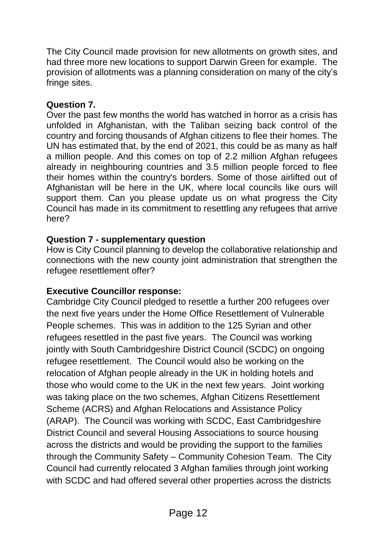The City Council made provision for new allotments on growth sites, and had three more new locations to support Darwin Green for example. The provision of allotments was a planning consideration on many of the city's fringe sites.

### **Question 7.**

Over the past few months the world has watched in horror as a crisis has unfolded in Afghanistan, with the Taliban seizing back control of the country and forcing thousands of Afghan citizens to flee their homes. The UN has estimated that, by the end of 2021, this could be as many as half a million people. And this comes on top of 2.2 million Afghan refugees already in neighbouring countries and 3.5 million people forced to flee their homes within the country's borders. Some of those airlifted out of Afghanistan will be here in the UK, where local councils like ours will support them. Can you please update us on what progress the City Council has made in its commitment to resettling any refugees that arrive here?

# **Question 7 - supplementary question**

How is City Council planning to develop the collaborative relationship and connections with the new county joint administration that strengthen the refugee resettlement offer?

# **Executive Councillor response:**

Cambridge City Council pledged to resettle a further 200 refugees over the next five years under the Home Office Resettlement of Vulnerable People schemes. This was in addition to the 125 Syrian and other refugees resettled in the past five years. The Council was working jointly with South Cambridgeshire District Council (SCDC) on ongoing refugee resettlement. The Council would also be working on the relocation of Afghan people already in the UK in holding hotels and those who would come to the UK in the next few years. Joint working was taking place on the two schemes, Afghan Citizens Resettlement Scheme (ACRS) and Afghan Relocations and Assistance Policy (ARAP). The Council was working with SCDC, East Cambridgeshire District Council and several Housing Associations to source housing across the districts and would be providing the support to the families through the Community Safety – Community Cohesion Team. The City Council had currently relocated 3 Afghan families through joint working with SCDC and had offered several other properties across the districts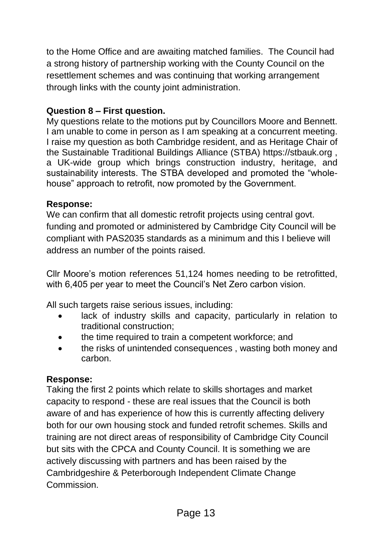to the Home Office and are awaiting matched families. The Council had a strong history of partnership working with the County Council on the resettlement schemes and was continuing that working arrangement through links with the county joint administration.

### **Question 8 – First question.**

My questions relate to the motions put by Councillors Moore and Bennett. I am unable to come in person as I am speaking at a concurrent meeting. I raise my question as both Cambridge resident, and as Heritage Chair of the Sustainable Traditional Buildings Alliance (STBA) https://stbauk.org , a UK-wide group which brings construction industry, heritage, and sustainability interests. The STBA developed and promoted the "wholehouse" approach to retrofit, now promoted by the Government.

### **Response:**

We can confirm that all domestic retrofit projects using central govt. funding and promoted or administered by Cambridge City Council will be compliant with PAS2035 standards as a minimum and this I believe will address an number of the points raised.

Cllr Moore's motion references 51,124 homes needing to be retrofitted, with 6,405 per year to meet the Council's Net Zero carbon vision.

All such targets raise serious issues, including:

- lack of industry skills and capacity, particularly in relation to traditional construction;
- the time required to train a competent workforce; and
- the risks of unintended consequences , wasting both money and carbon.

# **Response:**

Taking the first 2 points which relate to skills shortages and market capacity to respond - these are real issues that the Council is both aware of and has experience of how this is currently affecting delivery both for our own housing stock and funded retrofit schemes. Skills and training are not direct areas of responsibility of Cambridge City Council but sits with the CPCA and County Council. It is something we are actively discussing with partners and has been raised by the Cambridgeshire & Peterborough Independent Climate Change Commission.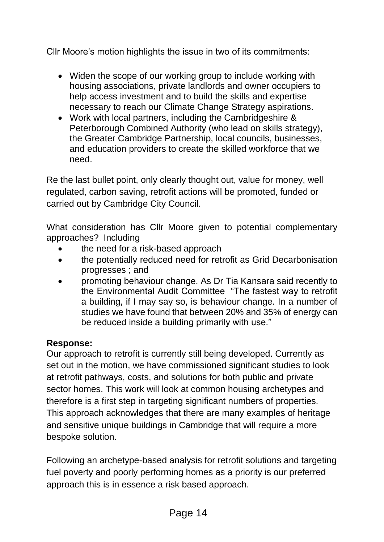Cllr Moore's motion highlights the issue in two of its commitments:

- Widen the scope of our working group to include working with housing associations, private landlords and owner occupiers to help access investment and to build the skills and expertise necessary to reach our Climate Change Strategy aspirations.
- Work with local partners, including the Cambridgeshire & Peterborough Combined Authority (who lead on skills strategy), the Greater Cambridge Partnership, local councils, businesses, and education providers to create the skilled workforce that we need.

Re the last bullet point, only clearly thought out, value for money, well regulated, carbon saving, retrofit actions will be promoted, funded or carried out by Cambridge City Council.

What consideration has Cllr Moore given to potential complementary approaches? Including

- the need for a risk-based approach
- the potentially reduced need for retrofit as Grid Decarbonisation progresses ; and
- promoting behaviour change. As Dr Tia Kansara said recently to the Environmental Audit Committee "The fastest way to retrofit a building, if I may say so, is behaviour change. In a number of studies we have found that between 20% and 35% of energy can be reduced inside a building primarily with use."

# **Response:**

Our approach to retrofit is currently still being developed. Currently as set out in the motion, we have commissioned significant studies to look at retrofit pathways, costs, and solutions for both public and private sector homes. This work will look at common housing archetypes and therefore is a first step in targeting significant numbers of properties. This approach acknowledges that there are many examples of heritage and sensitive unique buildings in Cambridge that will require a more bespoke solution.

Following an archetype-based analysis for retrofit solutions and targeting fuel poverty and poorly performing homes as a priority is our preferred approach this is in essence a risk based approach.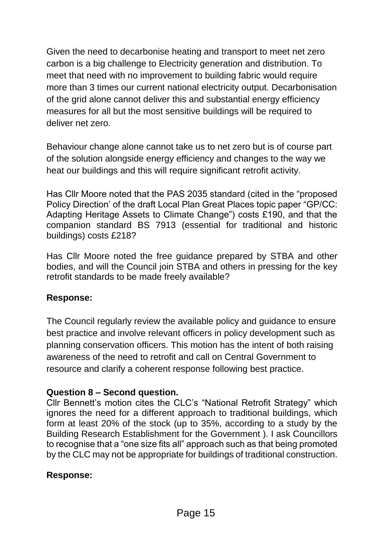Given the need to decarbonise heating and transport to meet net zero carbon is a big challenge to Electricity generation and distribution. To meet that need with no improvement to building fabric would require more than 3 times our current national electricity output. Decarbonisation of the grid alone cannot deliver this and substantial energy efficiency measures for all but the most sensitive buildings will be required to deliver net zero.

Behaviour change alone cannot take us to net zero but is of course part of the solution alongside energy efficiency and changes to the way we heat our buildings and this will require significant retrofit activity.

Has Cllr Moore noted that the PAS 2035 standard (cited in the "proposed Policy Direction' of the draft Local Plan Great Places topic paper "GP/CC: Adapting Heritage Assets to Climate Change") costs £190, and that the companion standard BS 7913 (essential for traditional and historic buildings) costs £218?

Has Cllr Moore noted the free guidance prepared by STBA and other bodies, and will the Council join STBA and others in pressing for the key retrofit standards to be made freely available?

# **Response:**

The Council regularly review the available policy and guidance to ensure best practice and involve relevant officers in policy development such as planning conservation officers. This motion has the intent of both raising awareness of the need to retrofit and call on Central Government to resource and clarify a coherent response following best practice.

#### **Question 8 – Second question.**

Cllr Bennett's motion cites the CLC's "National Retrofit Strategy" which ignores the need for a different approach to traditional buildings, which form at least 20% of the stock (up to 35%, according to a study by the Building Research Establishment for the Government ). I ask Councillors to recognise that a "one size fits all" approach such as that being promoted by the CLC may not be appropriate for buildings of traditional construction.

#### **Response:**